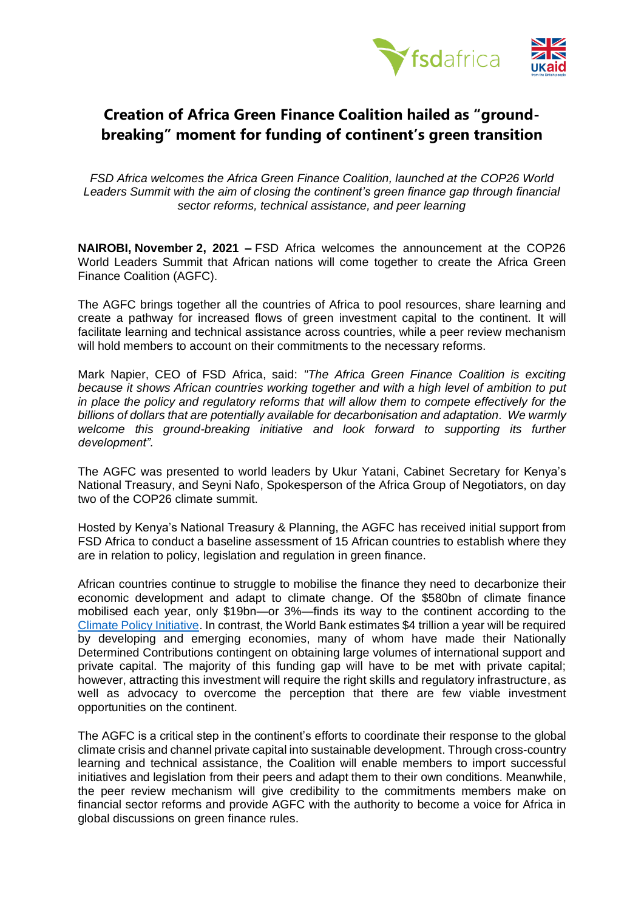

## **Creation of Africa Green Finance Coalition hailed as "groundbreaking" moment for funding of continent's green transition**

*FSD Africa welcomes the Africa Green Finance Coalition, launched at the COP26 World Leaders Summit with the aim of closing the continent's green finance gap through financial sector reforms, technical assistance, and peer learning*

**NAIROBI, November 2, 2021 –** FSD Africa welcomes the announcement at the COP26 World Leaders Summit that African nations will come together to create the Africa Green Finance Coalition (AGFC).

The AGFC brings together all the countries of Africa to pool resources, share learning and create a pathway for increased flows of green investment capital to the continent. It will facilitate learning and technical assistance across countries, while a peer review mechanism will hold members to account on their commitments to the necessary reforms.

Mark Napier, CEO of FSD Africa, said: *"The Africa Green Finance Coalition is exciting because it shows African countries working together and with a high level of ambition to put in place the policy and regulatory reforms that will allow them to compete effectively for the billions of dollars that are potentially available for decarbonisation and adaptation. We warmly welcome this ground-breaking initiative and look forward to supporting its further development".* 

The AGFC was presented to world leaders by Ukur Yatani, Cabinet Secretary for Kenya's National Treasury, and Seyni Nafo, Spokesperson of the Africa Group of Negotiators, on day two of the COP26 climate summit.

Hosted by Kenya's National Treasury & Planning, the AGFC has received initial support from FSD Africa to conduct a baseline assessment of 15 African countries to establish where they are in relation to policy, legislation and regulation in green finance.

African countries continue to struggle to mobilise the finance they need to decarbonize their economic development and adapt to climate change. Of the \$580bn of climate finance mobilised each year, only \$19bn—or 3%—finds its way to the continent according to the [Climate Policy Initiative.](https://www.climatepolicyinitiative.org/wp-content/uploads/2021/10/Global-Landscape-of-Climate-Finance-2021.pdf) In contrast, the World Bank estimates \$4 trillion a year will be required by developing and emerging economies, many of whom have made their Nationally Determined Contributions contingent on obtaining large volumes of international support and private capital. The majority of this funding gap will have to be met with private capital; however, attracting this investment will require the right skills and regulatory infrastructure, as well as advocacy to overcome the perception that there are few viable investment opportunities on the continent.

The AGFC is a critical step in the continent's efforts to coordinate their response to the global climate crisis and channel private capital into sustainable development. Through cross-country learning and technical assistance, the Coalition will enable members to import successful initiatives and legislation from their peers and adapt them to their own conditions. Meanwhile, the peer review mechanism will give credibility to the commitments members make on financial sector reforms and provide AGFC with the authority to become a voice for Africa in global discussions on green finance rules.